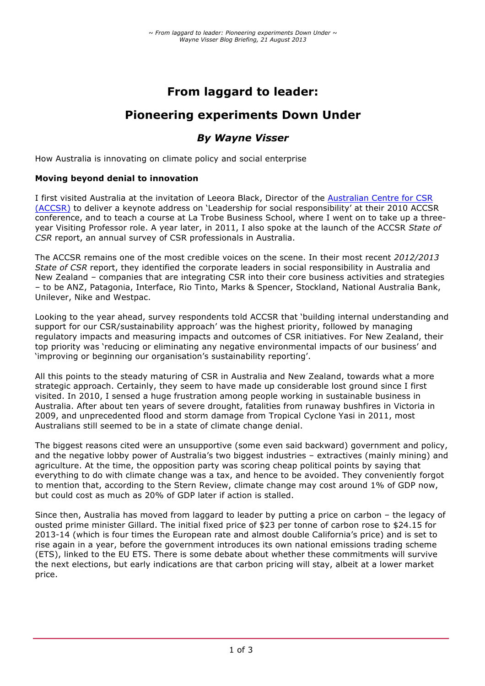# **From laggard to leader:**

# **Pioneering experiments Down Under**

# *By Wayne Visser*

How Australia is innovating on climate policy and social enterprise

### **Moving beyond denial to innovation**

I first visited Australia at the invitation of Leeora Black, Director of the Australian Centre for CSR (ACCSR) to deliver a keynote address on 'Leadership for social responsibility' at their 2010 ACCSR conference, and to teach a course at La Trobe Business School, where I went on to take up a threeyear Visiting Professor role. A year later, in 2011, I also spoke at the launch of the ACCSR *State of CSR* report, an annual survey of CSR professionals in Australia.

The ACCSR remains one of the most credible voices on the scene. In their most recent *2012/2013 State of CSR* report, they identified the corporate leaders in social responsibility in Australia and New Zealand – companies that are integrating CSR into their core business activities and strategies – to be ANZ, Patagonia, Interface, Rio Tinto, Marks & Spencer, Stockland, National Australia Bank, Unilever, Nike and Westpac.

Looking to the year ahead, survey respondents told ACCSR that 'building internal understanding and support for our CSR/sustainability approach' was the highest priority, followed by managing regulatory impacts and measuring impacts and outcomes of CSR initiatives. For New Zealand, their top priority was 'reducing or eliminating any negative environmental impacts of our business' and 'improving or beginning our organisation's sustainability reporting'.

All this points to the steady maturing of CSR in Australia and New Zealand, towards what a more strategic approach. Certainly, they seem to have made up considerable lost ground since I first visited. In 2010, I sensed a huge frustration among people working in sustainable business in Australia. After about ten years of severe drought, fatalities from runaway bushfires in Victoria in 2009, and unprecedented flood and storm damage from Tropical Cyclone Yasi in 2011, most Australians still seemed to be in a state of climate change denial.

The biggest reasons cited were an unsupportive (some even said backward) government and policy, and the negative lobby power of Australia's two biggest industries – extractives (mainly mining) and agriculture. At the time, the opposition party was scoring cheap political points by saying that everything to do with climate change was a tax, and hence to be avoided. They conveniently forgot to mention that, according to the Stern Review, climate change may cost around 1% of GDP now, but could cost as much as 20% of GDP later if action is stalled.

Since then, Australia has moved from laggard to leader by putting a price on carbon – the legacy of ousted prime minister Gillard. The initial fixed price of \$23 per tonne of carbon rose to \$24.15 for 2013-14 (which is four times the European rate and almost double California's price) and is set to rise again in a year, before the government introduces its own national emissions trading scheme (ETS), linked to the EU ETS. There is some debate about whether these commitments will survive the next elections, but early indications are that carbon pricing will stay, albeit at a lower market price.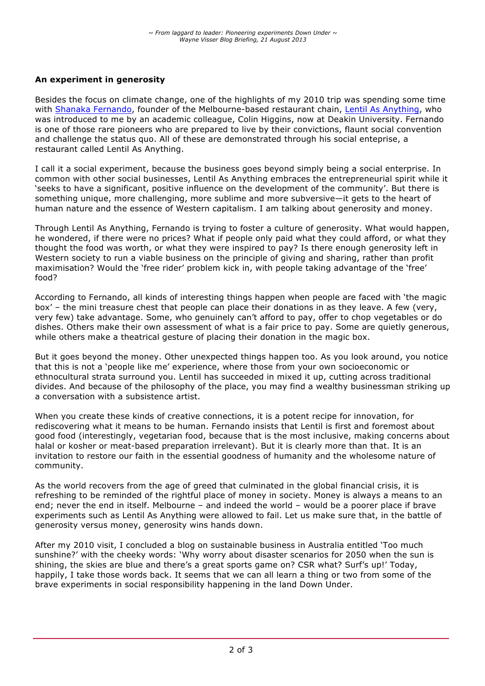## **An experiment in generosity**

Besides the focus on climate change, one of the highlights of my 2010 trip was spending some time with Shanaka Fernando, founder of the Melbourne-based restaurant chain, Lentil As Anything, who was introduced to me by an academic colleague, Colin Higgins, now at Deakin University. Fernando is one of those rare pioneers who are prepared to live by their convictions, flaunt social convention and challenge the status quo. All of these are demonstrated through his social enteprise, a restaurant called Lentil As Anything.

I call it a social experiment, because the business goes beyond simply being a social enterprise. In common with other social businesses, Lentil As Anything embraces the entrepreneurial spirit while it 'seeks to have a significant, positive influence on the development of the community'. But there is something unique, more challenging, more sublime and more subversive—it gets to the heart of human nature and the essence of Western capitalism. I am talking about generosity and money.

Through Lentil As Anything, Fernando is trying to foster a culture of generosity. What would happen, he wondered, if there were no prices? What if people only paid what they could afford, or what they thought the food was worth, or what they were inspired to pay? Is there enough generosity left in Western society to run a viable business on the principle of giving and sharing, rather than profit maximisation? Would the 'free rider' problem kick in, with people taking advantage of the 'free' food?

According to Fernando, all kinds of interesting things happen when people are faced with 'the magic box' – the mini treasure chest that people can place their donations in as they leave. A few (very, very few) take advantage. Some, who genuinely can't afford to pay, offer to chop vegetables or do dishes. Others make their own assessment of what is a fair price to pay. Some are quietly generous, while others make a theatrical gesture of placing their donation in the magic box.

But it goes beyond the money. Other unexpected things happen too. As you look around, you notice that this is not a 'people like me' experience, where those from your own socioeconomic or ethnocultural strata surround you. Lentil has succeeded in mixed it up, cutting across traditional divides. And because of the philosophy of the place, you may find a wealthy businessman striking up a conversation with a subsistence artist.

When you create these kinds of creative connections, it is a potent recipe for innovation, for rediscovering what it means to be human. Fernando insists that Lentil is first and foremost about good food (interestingly, vegetarian food, because that is the most inclusive, making concerns about halal or kosher or meat-based preparation irrelevant). But it is clearly more than that. It is an invitation to restore our faith in the essential goodness of humanity and the wholesome nature of community.

As the world recovers from the age of greed that culminated in the global financial crisis, it is refreshing to be reminded of the rightful place of money in society. Money is always a means to an end; never the end in itself. Melbourne – and indeed the world – would be a poorer place if brave experiments such as Lentil As Anything were allowed to fail. Let us make sure that, in the battle of generosity versus money, generosity wins hands down.

After my 2010 visit, I concluded a blog on sustainable business in Australia entitled 'Too much sunshine?' with the cheeky words: 'Why worry about disaster scenarios for 2050 when the sun is shining, the skies are blue and there's a great sports game on? CSR what? Surf's up!' Today, happily, I take those words back. It seems that we can all learn a thing or two from some of the brave experiments in social responsibility happening in the land Down Under.